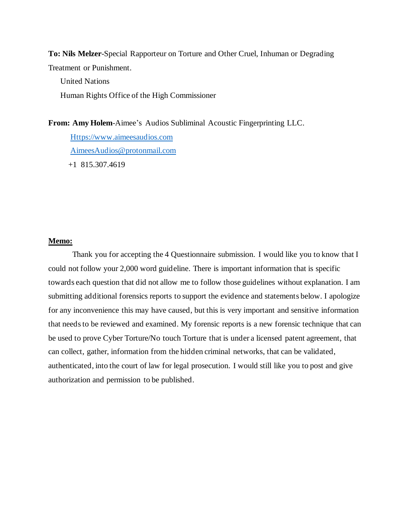**To: Nils Melzer**-Special Rapporteur on Torture and Other Cruel, Inhuman or Degrading Treatment or Punishment.

 United Nations Human Rights Office of the High Commissioner

**From: Amy Holem**-Aimee's Audios Subliminal Acoustic Fingerprinting LLC.

 [Https://www.aimeesaudios.com](https://www.aimeesaudios.com/) [AimeesAudios@protonmail.com](mailto:AimeesAudios@protonmail.com) +1 815.307.4619

### **Memo:**

Thank you for accepting the 4 Questionnaire submission. I would like you to know that I could not follow your 2,000 word guideline. There is important information that is specific towards each question that did not allow me to follow those guidelines without explanation. I am submitting additional forensics reports to support the evidence and statements below. I apologize for any inconvenience this may have caused, but this is very important and sensitive information that needs to be reviewed and examined. My forensic reports is a new forensic technique that can be used to prove Cyber Torture/No touch Torture that is under a licensed patent agreement, that can collect, gather, information from the hidden criminal networks, that can be validated, authenticated, into the court of law for legal prosecution. I would still like you to post and give authorization and permission to be published.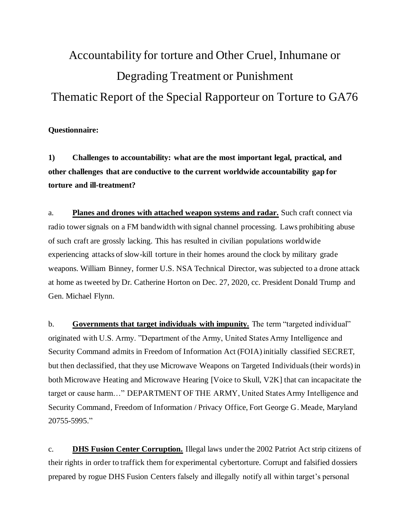# Accountability for torture and Other Cruel, Inhumane or Degrading Treatment or Punishment Thematic Report of the Special Rapporteur on Torture to GA76

# **Questionnaire:**

**1) Challenges to accountability: what are the most important legal, practical, and other challenges that are conductive to the current worldwide accountability gap for torture and ill-treatment?**

a. **Planes and drones with attached weapon systems and radar.** Such craft connect via radio tower signals on a FM bandwidth with signal channel processing. Laws prohibiting abuse of such craft are grossly lacking. This has resulted in civilian populations worldwide experiencing attacks of slow-kill torture in their homes around the clock by military grade weapons. William Binney, former U.S. NSA Technical Director, was subjected to a drone attack at home as tweeted by Dr. Catherine Horton on Dec. 27, 2020, cc. President Donald Trump and Gen. Michael Flynn.

b. **Governments that target individuals with impunity.** The term "targeted individual" originated with U.S. Army. "Department of the Army, United States Army Intelligence and Security Command admits in Freedom of Information Act (FOIA) initially classified SECRET, but then declassified, that they use Microwave Weapons on Targeted Individuals (their words) in both Microwave Heating and Microwave Hearing [Voice to Skull, V2K] that can incapacitate the target or cause harm…" DEPARTMENT OF THE ARMY, United States Army Intelligence and Security Command, Freedom of Information / Privacy Office, Fort George G. Meade, Maryland 20755-5995."

c. **DHS Fusion Center Corruption.** Illegal laws under the 2002 Patriot Act strip citizens of their rights in order to traffick them for experimental cybertorture. Corrupt and falsified dossiers prepared by rogue DHS Fusion Centers falsely and illegally notify all within target's personal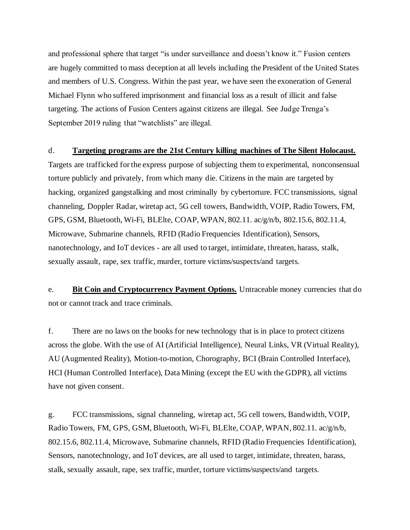and professional sphere that target "is under surveillance and doesn't know it." Fusion centers are hugely committed to mass deception at all levels including the President of the United States and members of U.S. Congress. Within the past year, we have seen the exoneration of General Michael Flynn who suffered imprisonment and financial loss as a result of illicit and false targeting. The actions of Fusion Centers against citizens are illegal. See Judge Trenga's September 2019 ruling that "watchlists" are illegal.

### d. **Targeting programs are the 21st Century killing machines of The Silent Holocaust.**

Targets are trafficked for the express purpose of subjecting them to experimental, nonconsensual torture publicly and privately, from which many die. Citizens in the main are targeted by hacking, organized gangstalking and most criminally by cybertorture. FCC transmissions, signal channeling, Doppler Radar, wiretap act, 5G cell towers, Bandwidth, VOIP, Radio Towers, FM, GPS, GSM, Bluetooth, Wi-Fi, BLElte, COAP, WPAN, 802.11. ac/g/n/b, 802.15.6, 802.11.4, Microwave, Submarine channels, RFID (Radio Frequencies Identification), Sensors, nanotechnology, and IoT devices - are all used to target, intimidate, threaten, harass, stalk, sexually assault, rape, sex traffic, murder, torture victims/suspects/and targets.

e. **Bit Coin and Cryptocurrency Payment Options.** Untraceable money currencies that do not or cannot track and trace criminals.

f. There are no laws on the books for new technology that is in place to protect citizens across the globe. With the use of AI (Artificial Intelligence), Neural Links, VR (Virtual Reality), AU (Augmented Reality), Motion-to-motion, Chorography, BCI (Brain Controlled Interface), HCI (Human Controlled Interface), Data Mining (except the EU with the GDPR), all victims have not given consent.

g. FCC transmissions, signal channeling, wiretap act, 5G cell towers, Bandwidth, VOIP, Radio Towers, FM, GPS, GSM, Bluetooth, Wi-Fi, BLElte, COAP, WPAN, 802.11. ac/g/n/b, 802.15.6, 802.11.4, Microwave, Submarine channels, RFID (Radio Frequencies Identification), Sensors, nanotechnology, and IoT devices, are all used to target, intimidate, threaten, harass, stalk, sexually assault, rape, sex traffic, murder, torture victims/suspects/and targets.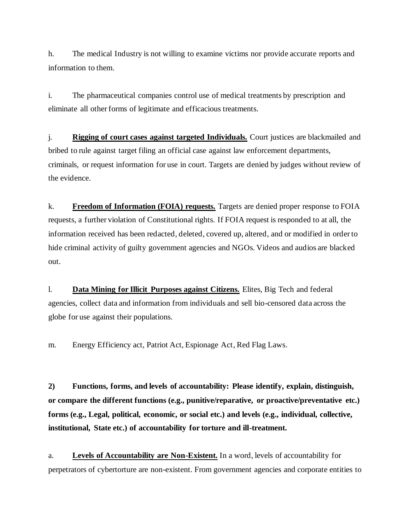h. The medical Industry is not willing to examine victims nor provide accurate reports and information to them.

i. The pharmaceutical companies control use of medical treatments by prescription and eliminate all other forms of legitimate and efficacious treatments.

j. **Rigging of court cases against targeted Individuals.** Court justices are blackmailed and bribed to rule against target filing an official case against law enforcement departments, criminals, or request information for use in court. Targets are denied by judges without review of the evidence.

k. **Freedom of Information (FOIA) requests.** Targets are denied proper response to FOIA requests, a further violation of Constitutional rights. If FOIA request is responded to at all, the information received has been redacted, deleted, covered up, altered, and or modified in order to hide criminal activity of guilty government agencies and NGOs. Videos and audios are blacked out.

l. **Data Mining for Illicit Purposes against Citizens.** Elites, Big Tech and federal agencies, collect data and information from individuals and sell bio-censored data across the globe for use against their populations.

m. Energy Efficiency act, Patriot Act, Espionage Act, Red Flag Laws.

**2) Functions, forms, and levels of accountability: Please identify, explain, distinguish, or compare the different functions (e.g., punitive/reparative, or proactive/preventative etc.) forms (e.g., Legal, political, economic, or social etc.) and levels (e.g., individual, collective, institutional, State etc.) of accountability for torture and ill-treatment.** 

a. **Levels of Accountability are Non-Existent.** In a word, levels of accountability for perpetrators of cybertorture are non-existent. From government agencies and corporate entities to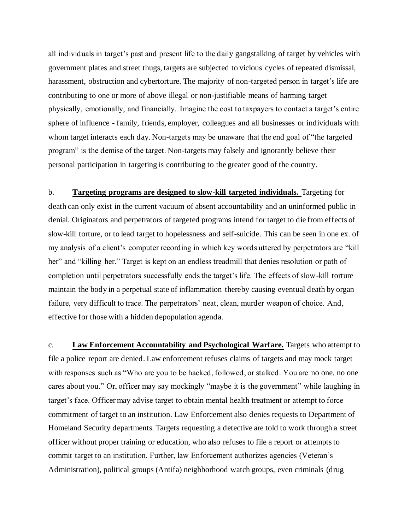all individuals in target's past and present life to the daily gangstalking of target by vehicles with government plates and street thugs, targets are subjected to vicious cycles of repeated dismissal, harassment, obstruction and cybertorture. The majority of non-targeted person in target's life are contributing to one or more of above illegal or non-justifiable means of harming target physically, emotionally, and financially. Imagine the cost to taxpayers to contact a target's entire sphere of influence - family, friends, employer, colleagues and all businesses or individuals with whom target interacts each day. Non-targets may be unaware that the end goal of "the targeted program" is the demise of the target. Non-targets may falsely and ignorantly believe their personal participation in targeting is contributing to the greater good of the country.

b. **Targeting programs are designed to slow-kill targeted individuals.** Targeting for death can only exist in the current vacuum of absent accountability and an uninformed public in denial. Originators and perpetrators of targeted programs intend for target to die from effects of slow-kill torture, or to lead target to hopelessness and self-suicide. This can be seen in one ex. of my analysis of a client's computer recording in which key words uttered by perpetrators are "kill her" and "killing her." Target is kept on an endless treadmill that denies resolution or path of completion until perpetrators successfully ends the target's life. The effects of slow-kill torture maintain the body in a perpetual state of inflammation thereby causing eventual death by organ failure, very difficult to trace. The perpetrators' neat, clean, murder weapon of choice. And, effective for those with a hidden depopulation agenda.

c. **Law Enforcement Accountability and Psychological Warfare.** Targets who attempt to file a police report are denied. Law enforcement refuses claims of targets and may mock target with responses such as "Who are you to be hacked, followed, or stalked. You are no one, no one cares about you." Or, officer may say mockingly "maybe it is the government" while laughing in target's face. Officer may advise target to obtain mental health treatment or attempt to force commitment of target to an institution. Law Enforcement also denies requests to Department of Homeland Security departments. Targets requesting a detective are told to work through a street officer without proper training or education, who also refuses to file a report or attempts to commit target to an institution. Further, law Enforcement authorizes agencies (Veteran's Administration), political groups (Antifa) neighborhood watch groups, even criminals (drug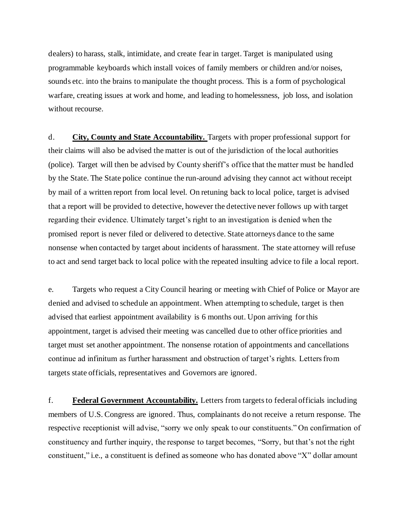dealers) to harass, stalk, intimidate, and create fear in target. Target is manipulated using programmable keyboards which install voices of family members or children and/or noises, sounds etc. into the brains to manipulate the thought process. This is a form of psychological warfare, creating issues at work and home, and leading to homelessness, job loss, and isolation without recourse.

d. **City, County and State Accountability.** Targets with proper professional support for their claims will also be advised the matter is out of the jurisdiction of the local authorities (police). Target will then be advised by County sheriff's office that the matter must be handled by the State. The State police continue the run-around advising they cannot act without receipt by mail of a written report from local level. On retuning back to local police, target is advised that a report will be provided to detective, however the detective never follows up with target regarding their evidence. Ultimately target's right to an investigation is denied when the promised report is never filed or delivered to detective. State attorneys dance to the same nonsense when contacted by target about incidents of harassment. The state attorney will refuse to act and send target back to local police with the repeated insulting advice to file a local report.

e. Targets who request a City Council hearing or meeting with Chief of Police or Mayor are denied and advised to schedule an appointment. When attempting to schedule, target is then advised that earliest appointment availability is 6 months out. Upon arriving for this appointment, target is advised their meeting was cancelled due to other office priorities and target must set another appointment. The nonsense rotation of appointments and cancellations continue ad infinitum as further harassment and obstruction of target's rights. Letters from targets state officials, representatives and Governors are ignored.

f. **Federal Government Accountability.** Letters from targets to federal officials including members of U.S. Congress are ignored. Thus, complainants do not receive a return response. The respective receptionist will advise, "sorry we only speak to our constituents." On confirmation of constituency and further inquiry, the response to target becomes, "Sorry, but that's not the right constituent," i.e., a constituent is defined as someone who has donated above "X" dollar amount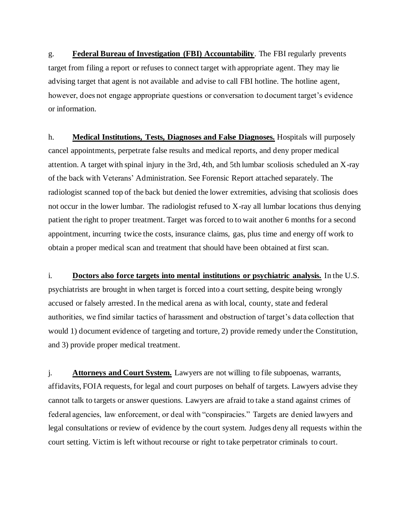g. **Federal Bureau of Investigation (FBI) Accountability**. The FBI regularly prevents target from filing a report or refuses to connect target with appropriate agent. They may lie advising target that agent is not available and advise to call FBI hotline. The hotline agent, however, does not engage appropriate questions or conversation to document target's evidence or information.

h. **Medical Institutions, Tests, Diagnoses and False Diagnoses.** Hospitals will purposely cancel appointments, perpetrate false results and medical reports, and deny proper medical attention. A target with spinal injury in the 3rd, 4th, and 5th lumbar scoliosis scheduled an X-ray of the back with Veterans' Administration. See Forensic Report attached separately. The radiologist scanned top of the back but denied the lower extremities, advising that scoliosis does not occur in the lower lumbar. The radiologist refused to X-ray all lumbar locations thus denying patient the right to proper treatment. Target was forced to to wait another 6 months for a second appointment, incurring twice the costs, insurance claims, gas, plus time and energy off work to obtain a proper medical scan and treatment that should have been obtained at first scan.

i. **Doctors also force targets into mental institutions or psychiatric analysis.** In the U.S. psychiatrists are brought in when target is forced into a court setting, despite being wrongly accused or falsely arrested. In the medical arena as with local, county, state and federal authorities, we find similar tactics of harassment and obstruction of target's data collection that would 1) document evidence of targeting and torture, 2) provide remedy under the Constitution, and 3) provide proper medical treatment.

j. **Attorneys and Court System.** Lawyers are not willing to file subpoenas, warrants, affidavits, FOIA requests, for legal and court purposes on behalf of targets. Lawyers advise they cannot talk to targets or answer questions. Lawyers are afraid to take a stand against crimes of federal agencies, law enforcement, or deal with "conspiracies." Targets are denied lawyers and legal consultations or review of evidence by the court system. Judges deny all requests within the court setting. Victim is left without recourse or right to take perpetrator criminals to court.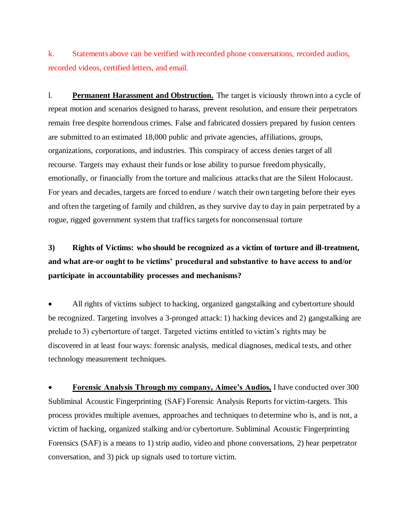k. Statements above can be verified with recorded phone conversations, recorded audios, recorded videos, certified letters, and email.

l. **Permanent Harassment and Obstruction.** The target is viciously thrown into a cycle of repeat motion and scenarios designed to harass, prevent resolution, and ensure their perpetrators remain free despite horrendous crimes. False and fabricated dossiers prepared by fusion centers are submitted to an estimated 18,000 public and private agencies, affiliations, groups, organizations, corporations, and industries. This conspiracy of access denies target of all recourse. Targets may exhaust their funds or lose ability to pursue freedom physically, emotionally, or financially from the torture and malicious attacks that are the Silent Holocaust. For years and decades, targets are forced to endure / watch their own targeting before their eyes and often the targeting of family and children, as they survive day to day in pain perpetrated by a rogue, rigged government system that traffics targets for nonconsensual torture

# **3) Rights of Victims: who should be recognized as a victim of torture and ill-treatment, and what are-or ought to be victims' procedural and substantive to have access to and/or participate in accountability processes and mechanisms?**

• All rights of victims subject to hacking, organized gangstalking and cybertorture should be recognized. Targeting involves a 3-pronged attack: 1) hacking devices and 2) gangstalking are prelude to 3) cybertorture of target. Targeted victims entitled to victim's rights may be discovered in at least four ways: forensic analysis, medical diagnoses, medical tests, and other technology measurement techniques.

• **Forensic Analysis Through my company, Aimee's Audios,** I have conducted over 300 Subliminal Acoustic Fingerprinting (SAF) Forensic Analysis Reports for victim-targets. This process provides multiple avenues, approaches and techniques to determine who is, and is not, a victim of hacking, organized stalking and/or cybertorture. Subliminal Acoustic Fingerprinting Forensics (SAF) is a means to 1) strip audio, video and phone conversations, 2) hear perpetrator conversation, and 3) pick up signals used to torture victim.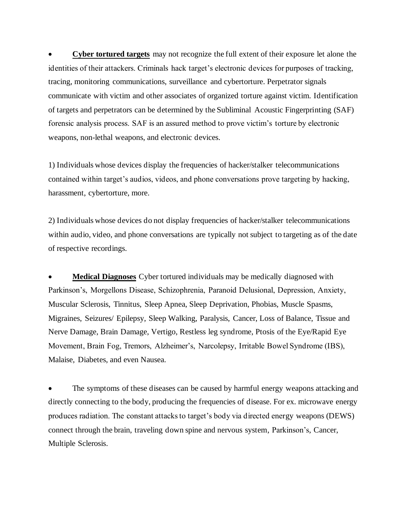• **Cyber tortured targets** may not recognize the full extent of their exposure let alone the identities of their attackers. Criminals hack target's electronic devices for purposes of tracking, tracing, monitoring communications, surveillance and cybertorture. Perpetrator signals communicate with victim and other associates of organized torture against victim. Identification of targets and perpetrators can be determined by the Subliminal Acoustic Fingerprinting (SAF) forensic analysis process. SAF is an assured method to prove victim's torture by electronic weapons, non-lethal weapons, and electronic devices.

1) Individuals whose devices display the frequencies of hacker/stalker telecommunications contained within target's audios, videos, and phone conversations prove targeting by hacking, harassment, cybertorture, more.

2) Individuals whose devices do not display frequencies of hacker/stalker telecommunications within audio, video, and phone conversations are typically not subject to targeting as of the date of respective recordings.

• **Medical Diagnoses** Cyber tortured individuals may be medically diagnosed with Parkinson's, Morgellons Disease, Schizophrenia, Paranoid Delusional, Depression, Anxiety, Muscular Sclerosis, Tinnitus, Sleep Apnea, Sleep Deprivation, Phobias, Muscle Spasms, Migraines, Seizures/ Epilepsy, Sleep Walking, Paralysis, Cancer, Loss of Balance, Tissue and Nerve Damage, Brain Damage, Vertigo, Restless leg syndrome, Ptosis of the Eye/Rapid Eye Movement, Brain Fog, Tremors, Alzheimer's, Narcolepsy, Irritable Bowel Syndrome (IBS), Malaise, Diabetes, and even Nausea.

The symptoms of these diseases can be caused by harmful energy weapons attacking and directly connecting to the body, producing the frequencies of disease. For ex. microwave energy produces radiation. The constant attacks to target's body via directed energy weapons (DEWS) connect through the brain, traveling down spine and nervous system, Parkinson's, Cancer, Multiple Sclerosis.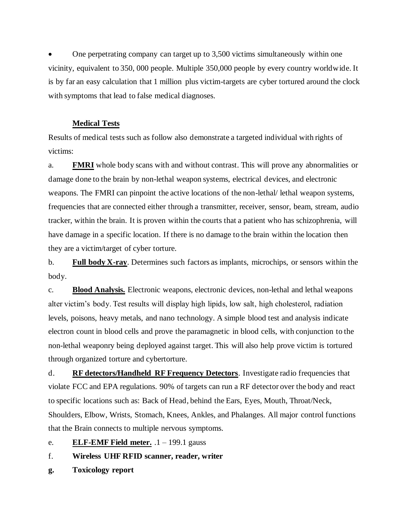• One perpetrating company can target up to 3,500 victims simultaneously within one vicinity, equivalent to 350, 000 people. Multiple 350,000 people by every country worldwide. It is by far an easy calculation that 1 million plus victim-targets are cyber tortured around the clock with symptoms that lead to false medical diagnoses.

## **Medical Tests**

Results of medical tests such as follow also demonstrate a targeted individual with rights of victims:

a. **FMRI** whole body scans with and without contrast. This will prove any abnormalities or damage done to the brain by non-lethal weapon systems, electrical devices, and electronic weapons. The FMRI can pinpoint the active locations of the non-lethal/ lethal weapon systems, frequencies that are connected either through a transmitter, receiver, sensor, beam, stream, audio tracker, within the brain. It is proven within the courts that a patient who has schizophrenia, will have damage in a specific location. If there is no damage to the brain within the location then they are a victim/target of cyber torture.

b. **Full body X-ray**. Determines such factors as implants, microchips, or sensors within the body.

c. **Blood Analysis.** Electronic weapons, electronic devices, non-lethal and lethal weapons alter victim's body. Test results will display high lipids, low salt, high cholesterol, radiation levels, poisons, heavy metals, and nano technology. A simple blood test and analysis indicate electron count in blood cells and prove the paramagnetic in blood cells, with conjunction to the non-lethal weaponry being deployed against target. This will also help prove victim is tortured through organized torture and cybertorture.

d. **RF detectors/Handheld RF Frequency Detectors**. Investigate radio frequencies that violate FCC and EPA regulations. 90% of targets can run a RF detector over the body and react to specific locations such as: Back of Head, behind the Ears, Eyes, Mouth, Throat/Neck, Shoulders, Elbow, Wrists, Stomach, Knees, Ankles, and Phalanges. All major control functions that the Brain connects to multiple nervous symptoms.

e. **ELF-EMF Field meter.** .1 – 199.1 gauss

## f. **Wireless UHF RFID scanner, reader, writer**

**g. Toxicology report**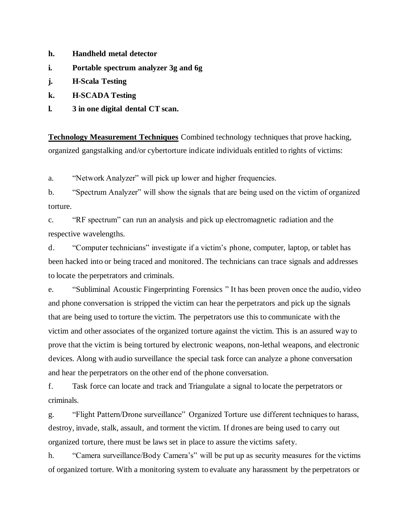- **h. Handheld metal detector**
- **i. Portable spectrum analyzer 3g and 6g**
- **j. H-Scala Testing**
- **k. H-SCADA Testing**
- **l. 3 in one digital dental CT scan.**

**Technology Measurement Techniques** Combined technology techniques that prove hacking, organized gangstalking and/or cybertorture indicate individuals entitled to rights of victims:

a. "Network Analyzer" will pick up lower and higher frequencies.

b. "Spectrum Analyzer" will show the signals that are being used on the victim of organized torture.

c. "RF spectrum" can run an analysis and pick up electromagnetic radiation and the respective wavelengths.

d. "Computer technicians" investigate if a victim's phone, computer, laptop, or tablet has been hacked into or being traced and monitored. The technicians can trace signals and addresses to locate the perpetrators and criminals.

e. "Subliminal Acoustic Fingerprinting Forensics " It has been proven once the audio, video and phone conversation is stripped the victim can hear the perpetrators and pick up the signals that are being used to torture the victim. The perpetrators use this to communicate with the victim and other associates of the organized torture against the victim. This is an assured way to prove that the victim is being tortured by electronic weapons, non-lethal weapons, and electronic devices. Along with audio surveillance the special task force can analyze a phone conversation and hear the perpetrators on the other end of the phone conversation.

f. Task force can locate and track and Triangulate a signal to locate the perpetrators or criminals.

g. "Flight Pattern/Drone surveillance" Organized Torture use different techniques to harass, destroy, invade, stalk, assault, and torment the victim. If drones are being used to carry out organized torture, there must be laws set in place to assure the victims safety.

h. "Camera surveillance/Body Camera's" will be put up as security measures for the victims of organized torture. With a monitoring system to evaluate any harassment by the perpetrators or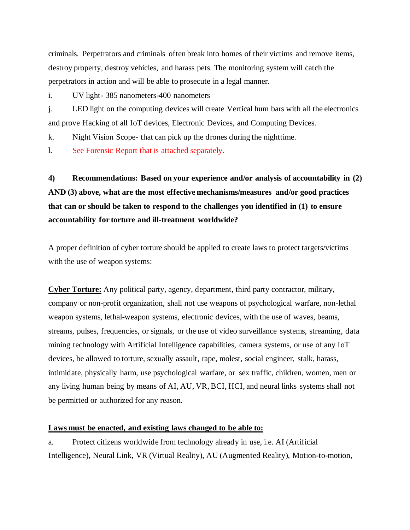criminals. Perpetrators and criminals often break into homes of their victims and remove items, destroy property, destroy vehicles, and harass pets. The monitoring system will catch the perpetrators in action and will be able to prosecute in a legal manner.

i. UV light- 385 nanometers-400 nanometers

j. LED light on the computing devices will create Vertical hum bars with all the electronics and prove Hacking of all IoT devices, Electronic Devices, and Computing Devices.

k. Night Vision Scope- that can pick up the drones during the nighttime.

l. See Forensic Report that is attached separately.

**4) Recommendations: Based on your experience and/or analysis of accountability in (2) AND (3) above, what are the most effective mechanisms/measures and/or good practices that can or should be taken to respond to the challenges you identified in (1) to ensure accountability for torture and ill-treatment worldwide?** 

A proper definition of cyber torture should be applied to create laws to protect targets/victims with the use of weapon systems:

**Cyber Torture:** Any political party, agency, department, third party contractor, military, company or non-profit organization, shall not use weapons of psychological warfare, non-lethal weapon systems, lethal-weapon systems, electronic devices, with the use of waves, beams, streams, pulses, frequencies, or signals, or the use of video surveillance systems, streaming, data mining technology with Artificial Intelligence capabilities, camera systems, or use of any IoT devices, be allowed to torture, sexually assault, rape, molest, social engineer, stalk, harass, intimidate, physically harm, use psychological warfare, or sex traffic, children, women, men or any living human being by means of AI, AU, VR, BCI, HCI, and neural links systems shall not be permitted or authorized for any reason.

### **Laws must be enacted, and existing laws changed to be able to:**

a. Protect citizens worldwide from technology already in use, i.e. AI (Artificial Intelligence), Neural Link, VR (Virtual Reality), AU (Augmented Reality), Motion-to-motion,